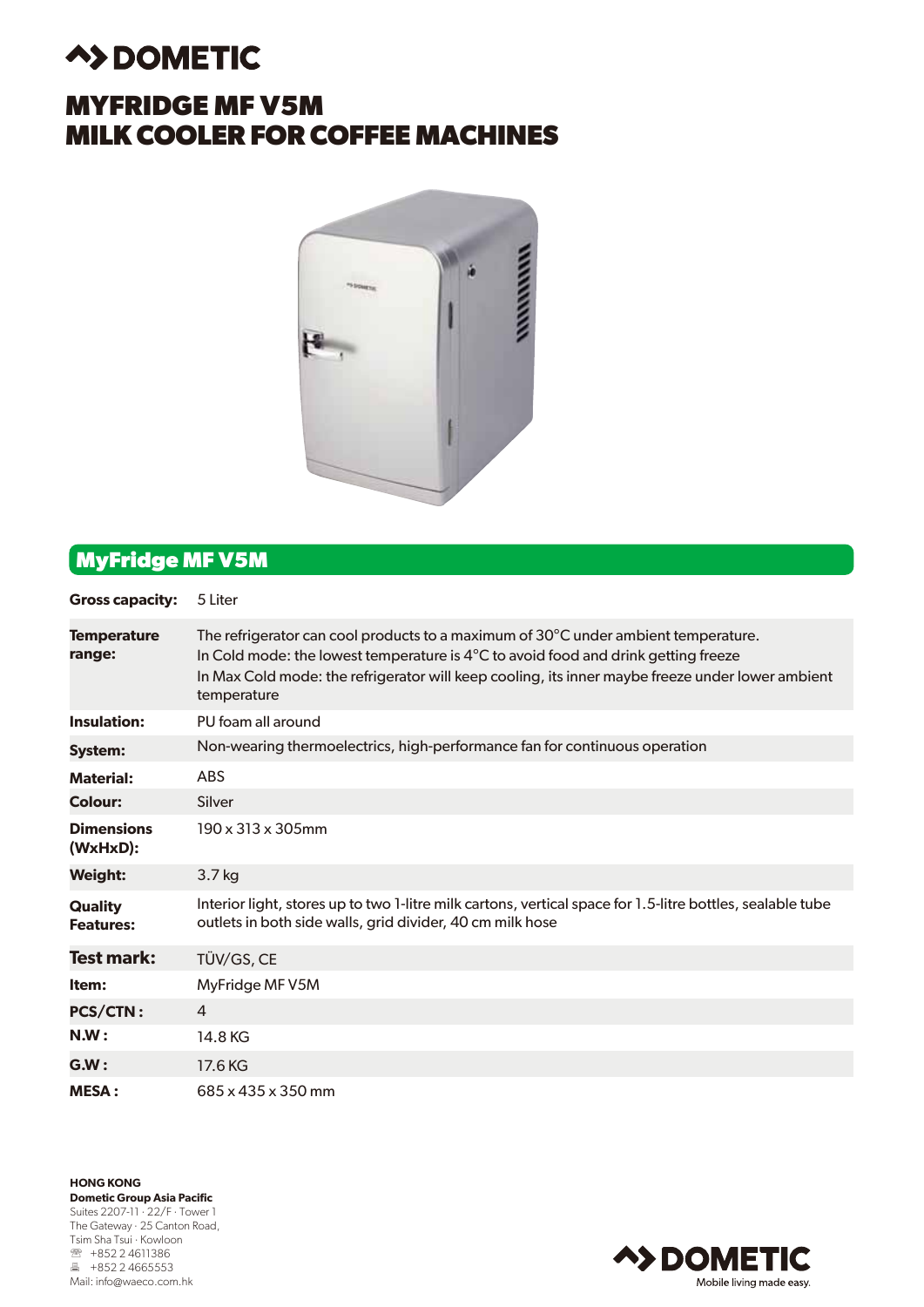# **A>DOMETIC**

## **MYFRIDGE MF V5M MILK COOLER FOR COFFEE MACHINES**



## **MyFridge MF V5M**

| <b>Gross capacity:</b>             | 5 Liter                                                                                                                                                                                                                                                                                               |
|------------------------------------|-------------------------------------------------------------------------------------------------------------------------------------------------------------------------------------------------------------------------------------------------------------------------------------------------------|
| <b>Temperature</b><br>range:       | The refrigerator can cool products to a maximum of 30°C under ambient temperature.<br>In Cold mode: the lowest temperature is $4^{\circ}$ C to avoid food and drink getting freeze<br>In Max Cold mode: the refrigerator will keep cooling, its inner maybe freeze under lower ambient<br>temperature |
| Insulation:                        | PU foam all around                                                                                                                                                                                                                                                                                    |
| <b>System:</b>                     | Non-wearing thermoelectrics, high-performance fan for continuous operation                                                                                                                                                                                                                            |
| <b>Material:</b>                   | <b>ABS</b>                                                                                                                                                                                                                                                                                            |
| <b>Colour:</b>                     | Silver                                                                                                                                                                                                                                                                                                |
| <b>Dimensions</b><br>(WxHxD):      | $190 \times 313 \times 305$ mm                                                                                                                                                                                                                                                                        |
| <b>Weight:</b>                     | 3.7 kg                                                                                                                                                                                                                                                                                                |
| <b>Quality</b><br><b>Features:</b> | Interior light, stores up to two 1-litre milk cartons, vertical space for 1.5-litre bottles, sealable tube<br>outlets in both side walls, grid divider, 40 cm milk hose                                                                                                                               |
| <b>Test mark:</b>                  | TÜV/GS, CE                                                                                                                                                                                                                                                                                            |
| Item:                              | MyFridge MF V5M                                                                                                                                                                                                                                                                                       |
| <b>PCS/CTN:</b>                    | $\overline{4}$                                                                                                                                                                                                                                                                                        |
| N.W:                               | 14.8 KG                                                                                                                                                                                                                                                                                               |
| GM:                                | 17.6 KG                                                                                                                                                                                                                                                                                               |
| <b>MESA:</b>                       | 685 x 435 x 350 mm                                                                                                                                                                                                                                                                                    |

**HONG KONG Dometic Group Asia Pacific** Suites 2207-11 · 22/F · Tower 1 The Gateway · 25 Canton Road, Tsim Sha Tsui · Kowloon **图 +852 2 4611386** ■ +852 2 4665553 Mail: info@waeco.com.hk